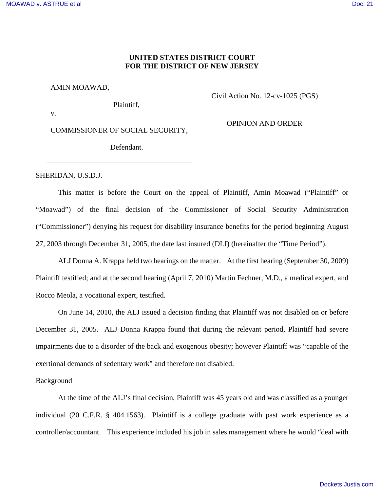## **UNITED STATES DISTRICT COURT FOR THE DISTRICT OF NEW JERSEY**

AMIN MOAWAD,

Plaintiff,

v.

COMMISSIONER OF SOCIAL SECURITY,

Defendant.

Civil Action No. 12-cv-1025 (PGS)

OPINION AND ORDER

SHERIDAN, U.S.D.J.

 This matter is before the Court on the appeal of Plaintiff, Amin Moawad ("Plaintiff" or "Moawad") of the final decision of the Commissioner of Social Security Administration ("Commissioner") denying his request for disability insurance benefits for the period beginning August 27, 2003 through December 31, 2005, the date last insured (DLI) (hereinafter the "Time Period").

 ALJ Donna A. Krappa held two hearings on the matter. At the first hearing (September 30, 2009) Plaintiff testified; and at the second hearing (April 7, 2010) Martin Fechner, M.D., a medical expert, and Rocco Meola, a vocational expert, testified.

 On June 14, 2010, the ALJ issued a decision finding that Plaintiff was not disabled on or before December 31, 2005. ALJ Donna Krappa found that during the relevant period, Plaintiff had severe impairments due to a disorder of the back and exogenous obesity; however Plaintiff was "capable of the exertional demands of sedentary work" and therefore not disabled.

### Background

 At the time of the ALJ's final decision, Plaintiff was 45 years old and was classified as a younger individual (20 C.F.R. § 404.1563). Plaintiff is a college graduate with past work experience as a controller/accountant. This experience included his job in sales management where he would "deal with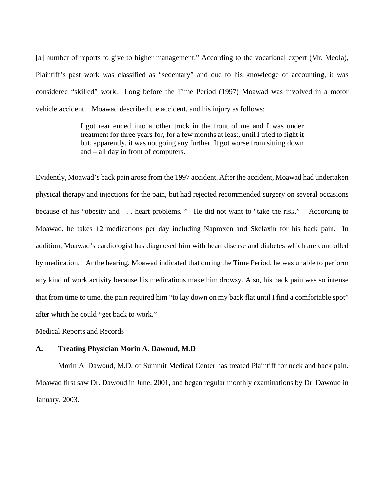[a] number of reports to give to higher management." According to the vocational expert (Mr. Meola), Plaintiff's past work was classified as "sedentary" and due to his knowledge of accounting, it was considered "skilled" work. Long before the Time Period (1997) Moawad was involved in a motor vehicle accident. Moawad described the accident, and his injury as follows:

> I got rear ended into another truck in the front of me and I was under treatment for three years for, for a few months at least, until I tried to fight it but, apparently, it was not going any further. It got worse from sitting down and – all day in front of computers.

Evidently, Moawad's back pain arose from the 1997 accident. After the accident, Moawad had undertaken physical therapy and injections for the pain, but had rejected recommended surgery on several occasions because of his "obesity and . . . heart problems. " He did not want to "take the risk." According to Moawad, he takes 12 medications per day including Naproxen and Skelaxin for his back pain. In addition, Moawad's cardiologist has diagnosed him with heart disease and diabetes which are controlled by medication. At the hearing, Moawad indicated that during the Time Period, he was unable to perform any kind of work activity because his medications make him drowsy. Also, his back pain was so intense that from time to time, the pain required him "to lay down on my back flat until I find a comfortable spot" after which he could "get back to work."

### Medical Reports and Records

#### **A. Treating Physician Morin A. Dawoud, M.D**

Morin A. Dawoud, M.D. of Summit Medical Center has treated Plaintiff for neck and back pain. Moawad first saw Dr. Dawoud in June, 2001, and began regular monthly examinations by Dr. Dawoud in January, 2003.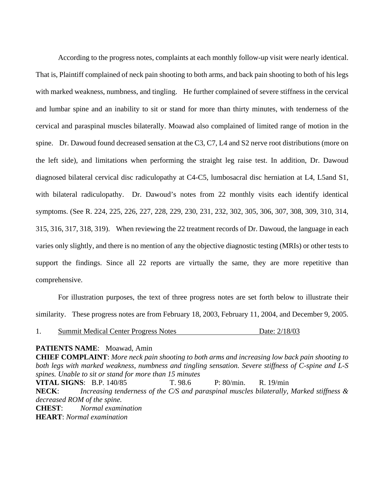According to the progress notes, complaints at each monthly follow-up visit were nearly identical. That is, Plaintiff complained of neck pain shooting to both arms, and back pain shooting to both of his legs with marked weakness, numbness, and tingling. He further complained of severe stiffness in the cervical and lumbar spine and an inability to sit or stand for more than thirty minutes, with tenderness of the cervical and paraspinal muscles bilaterally. Moawad also complained of limited range of motion in the spine. Dr. Dawoud found decreased sensation at the C3, C7, L4 and S2 nerve root distributions (more on the left side), and limitations when performing the straight leg raise test. In addition, Dr. Dawoud diagnosed bilateral cervical disc radiculopathy at C4-C5, lumbosacral disc herniation at L4, L5and S1, with bilateral radiculopathy. Dr. Dawoud's notes from 22 monthly visits each identify identical symptoms. (See R. 224, 225, 226, 227, 228, 229, 230, 231, 232, 302, 305, 306, 307, 308, 309, 310, 314, 315, 316, 317, 318, 319). When reviewing the 22 treatment records of Dr. Dawoud, the language in each varies only slightly, and there is no mention of any the objective diagnostic testing (MRIs) or other tests to support the findings. Since all 22 reports are virtually the same, they are more repetitive than comprehensive.

 For illustration purposes, the text of three progress notes are set forth below to illustrate their similarity. These progress notes are from February 18, 2003, February 11, 2004, and December 9, 2005.

1. Summit Medical Center Progress Notes Date: 2/18/03

### **PATIENTS NAME**: Moawad, Amin

**CHIEF COMPLAINT**: *More neck pain shooting to both arms and increasing low back pain shooting to both legs with marked weakness, numbness and tingling sensation. Severe stiffness of C-spine and L-S spines. Unable to sit or stand for more than 15 minutes* **VITAL SIGNS**: B.P. 140/85 T. 98.6 P: 80/min. R. 19/min **NECK**: *Increasing tenderness of the C/S and paraspinal muscles bilaterally, Marked stiffness & decreased ROM of the spine.*  **CHEST**: *Normal examination* **HEART**: *Normal examination*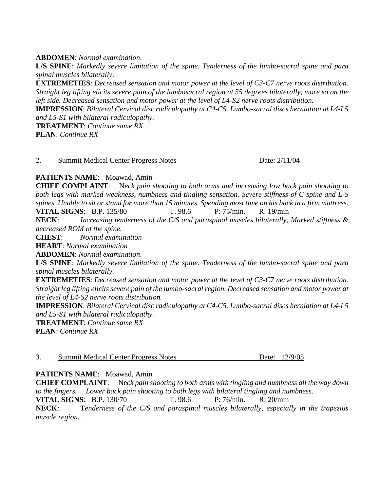## **ABDOMEN**: *Normal examination*.

**L/S SPINE**: *Markedly severe limitation of the spine. Tenderness of the lumbo-sacral spine and para spinal muscles bilaterally*.

**EXTREMETIES**: *Decreased sensation and motor power at the level of C3-C7 nerve roots distribution. Straight leg lifting elicits severe pain of the lumbosacral region at 55 degrees bilaterally, more so on the left side. Decreased sensation and motor power at the level of L4-S2 nerve roots distribution.* 

**IMPRESSION**: *Bilateral Cervical disc radiculopathy at C4-C5. Lumbo-sacral discs herniation at L4-L5 and L5-S1 with bilateral radiculopathy.* 

**TREATMENT**: *Continue same RX*  **PLAN**: *Continue RX* 

|  | Date: 2/11/04<br><b>Summit Medical Center Progress Notes</b> |  |
|--|--------------------------------------------------------------|--|
|--|--------------------------------------------------------------|--|

# **PATIENTS NAME**: Moawad, Amin

**CHIEF COMPLAINT**: N*eck pain shooting to both arms and increasing low back pain shooting to both legs with marked weakness, numbness and tingling sensation. Severe stiffness of C-spine and L-S spines. Unable to sit or stand for more than 15 minutes. Spending most time on his back in a firm mattress.*  **VITAL SIGNS:** B.P. 135/80 T. 98.6 P: 75/min. R. 19/min

**NECK**: *Increasing tenderness of the C/S and paraspinal muscles bilaterally, Marked stiffness & decreased ROM of the spine.* 

**CHEST**: *Normal examination*

**HEART**: *Normal examination* 

**ABDOMEN**: *Normal examination*.

**L/S SPINE**: *Markedly severe limitation of the spine. Tenderness of the lumbo-sacral spine and para spinal muscles bilaterally*.

**EXTREMETIES**: *Decreased sensation and motor power at the level of C3-C7 nerve roots distribution. Straight leg lifting elicits severe pain of the lumbo-sacral region. Decreased sensation and motor power at the level of L4-S2 nerve roots distribution.* 

**IMPRESSION**: *Bilateral Cervical disc radiculopathy at C4-C5. Lumbo-sacral discs herniation at L4-L5 and L5-S1 with bilateral radiculopathy.* 

**TREATMENT**: *Continue same RX* 

**PLAN**: *Continue RX* 

| Date: 12/9/05<br><b>Summit Medical Center Progress Notes</b> |
|--------------------------------------------------------------|
|--------------------------------------------------------------|

### **PATIENTS NAME**: Moawad, Amin

**CHIEF COMPLAINT**: N*eck pain shooting to both arms with tingling and numbness all the way down to the fingers. Lower back pain shooting to both legs with bilateral tingling and numbness.*  **VITAL SIGNS:** B.P. 130/70 T. 98.6 P: 76/min. R. 20/min **NECK**: T*enderness of the C/S and paraspinal muscles bilaterally, especially in the trapezius* 

*muscle region. .*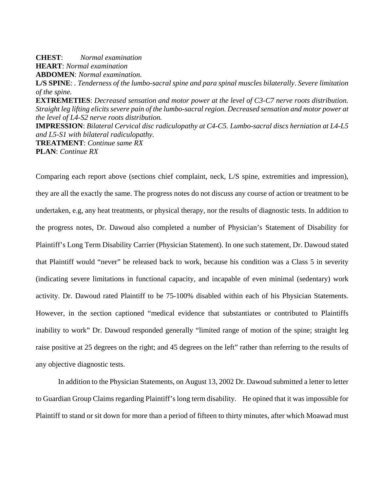**CHEST**: *Normal examination* **HEART**: *Normal examination*  **ABDOMEN**: *Normal examination*. **L/S SPINE**: *. Tenderness of the lumbo-sacral spine and para spinal muscles bilaterally*. *Severe limitation of the spine.*  **EXTREMETIES**: *Decreased sensation and motor power at the level of C3-C7 nerve roots distribution. Straight leg lifting elicits severe pain of the lumbo-sacral region. Decreased sensation and motor power at the level of L4-S2 nerve roots distribution.*  **IMPRESSION**: *Bilateral Cervical disc radiculopathy at C4-C5. Lumbo-sacral discs herniation at L4-L5 and L5-S1 with bilateral radiculopathy.*  **TREATMENT**: *Continue same RX*  **PLAN**: *Continue RX* 

Comparing each report above (sections chief complaint, neck, L/S spine, extremities and impression), they are all the exactly the same. The progress notes do not discuss any course of action or treatment to be undertaken, e.g, any heat treatments, or physical therapy, nor the results of diagnostic tests. In addition to the progress notes, Dr. Dawoud also completed a number of Physician's Statement of Disability for Plaintiff's Long Term Disability Carrier (Physician Statement). In one such statement, Dr. Dawoud stated that Plaintiff would "never" be released back to work, because his condition was a Class 5 in severity (indicating severe limitations in functional capacity, and incapable of even minimal (sedentary) work activity. Dr. Dawoud rated Plaintiff to be 75-100% disabled within each of his Physician Statements. However, in the section captioned "medical evidence that substantiates or contributed to Plaintiffs inability to work" Dr. Dawoud responded generally "limited range of motion of the spine; straight leg raise positive at 25 degrees on the right; and 45 degrees on the left" rather than referring to the results of any objective diagnostic tests.

 In addition to the Physician Statements, on August 13, 2002 Dr. Dawoud submitted a letter to letter to Guardian Group Claims regarding Plaintiff's long term disability. He opined that it was impossible for Plaintiff to stand or sit down for more than a period of fifteen to thirty minutes, after which Moawad must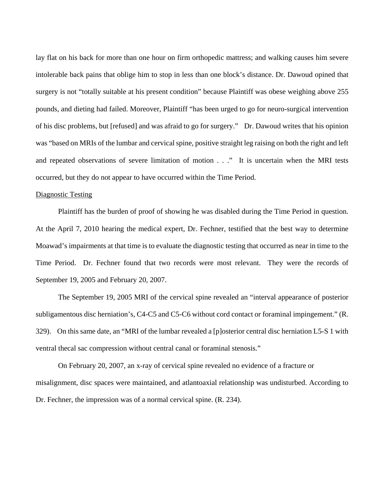lay flat on his back for more than one hour on firm orthopedic mattress; and walking causes him severe intolerable back pains that oblige him to stop in less than one block's distance. Dr. Dawoud opined that surgery is not "totally suitable at his present condition" because Plaintiff was obese weighing above 255 pounds, and dieting had failed. Moreover, Plaintiff "has been urged to go for neuro-surgical intervention of his disc problems, but [refused] and was afraid to go for surgery." Dr. Dawoud writes that his opinion was "based on MRIs of the lumbar and cervical spine, positive straight leg raising on both the right and left and repeated observations of severe limitation of motion . . ." It is uncertain when the MRI tests occurred, but they do not appear to have occurred within the Time Period.

#### Diagnostic Testing

 Plaintiff has the burden of proof of showing he was disabled during the Time Period in question. At the April 7, 2010 hearing the medical expert, Dr. Fechner, testified that the best way to determine Moawad's impairments at that time is to evaluate the diagnostic testing that occurred as near in time to the Time Period. Dr. Fechner found that two records were most relevant. They were the records of September 19, 2005 and February 20, 2007.

 The September 19, 2005 MRI of the cervical spine revealed an "interval appearance of posterior subligamentous disc herniation's, C4-C5 and C5-C6 without cord contact or foraminal impingement." (R. 329). On this same date, an "MRI of the lumbar revealed a [p]osterior central disc herniation L5-S 1 with ventral thecal sac compression without central canal or foraminal stenosis."

 On February 20, 2007, an x-ray of cervical spine revealed no evidence of a fracture or misalignment, disc spaces were maintained, and atlantoaxial relationship was undisturbed. According to Dr. Fechner, the impression was of a normal cervical spine. (R. 234).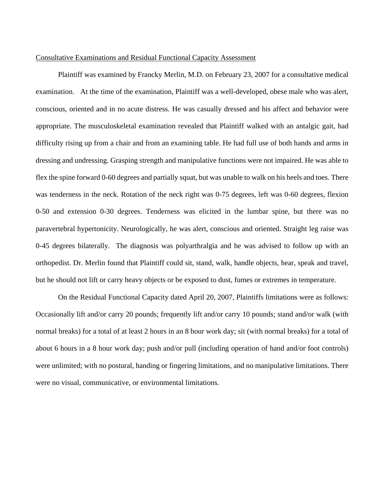### Consultative Examinations and Residual Functional Capacity Assessment

 Plaintiff was examined by Francky Merlin, M.D. on February 23, 2007 for a consultative medical examination. At the time of the examination, Plaintiff was a well-developed, obese male who was alert, conscious, oriented and in no acute distress. He was casually dressed and his affect and behavior were appropriate. The musculoskeletal examination revealed that Plaintiff walked with an antalgic gait, had difficulty rising up from a chair and from an examining table. He had full use of both hands and arms in dressing and undressing. Grasping strength and manipulative functions were not impaired. He was able to flex the spine forward 0-60 degrees and partially squat, but was unable to walk on his heels and toes. There was tenderness in the neck. Rotation of the neck right was 0-75 degrees, left was 0-60 degrees, flexion 0-50 and extension 0-30 degrees. Tenderness was elicited in the lumbar spine, but there was no paravertebral hypertonicity. Neurologically, he was alert, conscious and oriented. Straight leg raise was 0-45 degrees bilaterally. The diagnosis was polyarthralgia and he was advised to follow up with an orthopedist. Dr. Merlin found that Plaintiff could sit, stand, walk, handle objects, hear, speak and travel, but he should not lift or carry heavy objects or be exposed to dust, fumes or extremes in temperature.

 On the Residual Functional Capacity dated April 20, 2007, Plaintiffs limitations were as follows: Occasionally lift and/or carry 20 pounds; frequently lift and/or carry 10 pounds; stand and/or walk (with normal breaks) for a total of at least 2 hours in an 8 hour work day; sit (with normal breaks) for a total of about 6 hours in a 8 hour work day; push and/or pull (including operation of hand and/or foot controls) were unlimited; with no postural, handing or fingering limitations, and no manipulative limitations. There were no visual, communicative, or environmental limitations.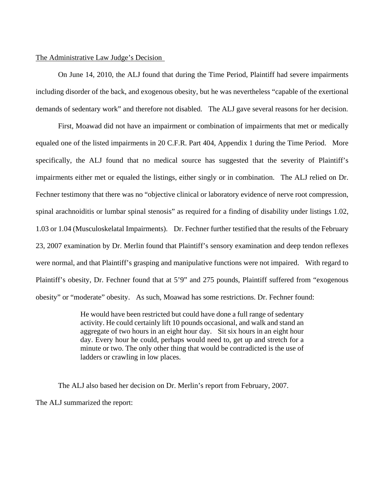### The Administrative Law Judge's Decision

 On June 14, 2010, the ALJ found that during the Time Period, Plaintiff had severe impairments including disorder of the back, and exogenous obesity, but he was nevertheless "capable of the exertional demands of sedentary work" and therefore not disabled. The ALJ gave several reasons for her decision.

 First, Moawad did not have an impairment or combination of impairments that met or medically equaled one of the listed impairments in 20 C.F.R. Part 404, Appendix 1 during the Time Period. More specifically, the ALJ found that no medical source has suggested that the severity of Plaintiff's impairments either met or equaled the listings, either singly or in combination. The ALJ relied on Dr. Fechner testimony that there was no "objective clinical or laboratory evidence of nerve root compression, spinal arachnoiditis or lumbar spinal stenosis" as required for a finding of disability under listings 1.02, 1.03 or 1.04 (Musculoskelatal Impairments). Dr. Fechner further testified that the results of the February 23, 2007 examination by Dr. Merlin found that Plaintiff's sensory examination and deep tendon reflexes were normal, and that Plaintiff's grasping and manipulative functions were not impaired. With regard to Plaintiff's obesity, Dr. Fechner found that at 5'9" and 275 pounds, Plaintiff suffered from "exogenous obesity" or "moderate" obesity. As such, Moawad has some restrictions. Dr. Fechner found:

> He would have been restricted but could have done a full range of sedentary activity. He could certainly lift 10 pounds occasional, and walk and stand an aggregate of two hours in an eight hour day. Sit six hours in an eight hour day. Every hour he could, perhaps would need to, get up and stretch for a minute or two. The only other thing that would be contradicted is the use of ladders or crawling in low places.

 The ALJ also based her decision on Dr. Merlin's report from February, 2007. The ALJ summarized the report: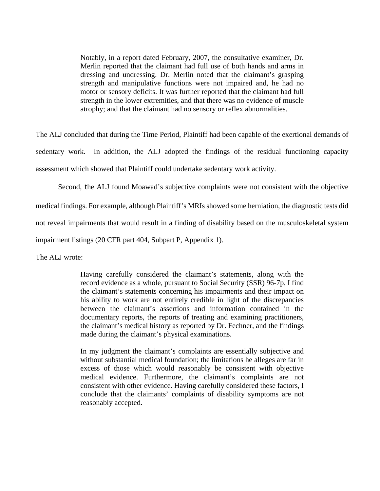Notably, in a report dated February, 2007, the consultative examiner, Dr. Merlin reported that the claimant had full use of both hands and arms in dressing and undressing. Dr. Merlin noted that the claimant's grasping strength and manipulative functions were not impaired and, he had no motor or sensory deficits. It was further reported that the claimant had full strength in the lower extremities, and that there was no evidence of muscle atrophy; and that the claimant had no sensory or reflex abnormalities.

The ALJ concluded that during the Time Period, Plaintiff had been capable of the exertional demands of sedentary work. In addition, the ALJ adopted the findings of the residual functioning capacity assessment which showed that Plaintiff could undertake sedentary work activity.

Second, the ALJ found Moawad's subjective complaints were not consistent with the objective

medical findings. For example, although Plaintiff's MRIs showed some herniation, the diagnostic tests did

not reveal impairments that would result in a finding of disability based on the musculoskeletal system

impairment listings (20 CFR part 404, Subpart P, Appendix 1).

The ALJ wrote:

Having carefully considered the claimant's statements, along with the record evidence as a whole, pursuant to Social Security (SSR) 96-7p, I find the claimant's statements concerning his impairments and their impact on his ability to work are not entirely credible in light of the discrepancies between the claimant's assertions and information contained in the documentary reports, the reports of treating and examining practitioners, the claimant's medical history as reported by Dr. Fechner, and the findings made during the claimant's physical examinations.

In my judgment the claimant's complaints are essentially subjective and without substantial medical foundation; the limitations he alleges are far in excess of those which would reasonably be consistent with objective medical evidence. Furthermore, the claimant's complaints are not consistent with other evidence. Having carefully considered these factors, I conclude that the claimants' complaints of disability symptoms are not reasonably accepted.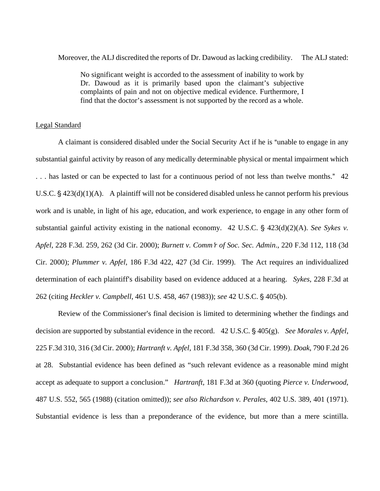Moreover, the ALJ discredited the reports of Dr. Dawoud as lacking credibility. The ALJ stated:

No significant weight is accorded to the assessment of inability to work by Dr. Dawoud as it is primarily based upon the claimant's subjective complaints of pain and not on objective medical evidence. Furthermore, I find that the doctor's assessment is not supported by the record as a whole.

### Legal Standard

A claimant is considered disabled under the Social Security Act if he is "unable to engage in any substantial gainful activity by reason of any medically determinable physical or mental impairment which ... has lasted or can be expected to last for a continuous period of not less than twelve months." 42 U.S.C.  $\S$  423(d)(1)(A). A plaintiff will not be considered disabled unless he cannot perform his previous work and is unable, in light of his age, education, and work experience, to engage in any other form of substantial gainful activity existing in the national economy.  $42 \text{ U.S.C. }$  \$ $423(d)(2)(A)$ . *See Sykes v. Apfel*, 228 F.3d. 259, 262 (3d Cir. 2000); *Burnett v. Comm*=*r of Soc. Sec. Admin*., 220 F.3d 112, 118 (3d Cir. 2000); *Plummer v. Apfel*, 186 F.3d 422, 427 (3d Cir. 1999). The Act requires an individualized determination of each plaintiff's disability based on evidence adduced at a hearing. *Sykes*, 228 F.3d at 262 (citing *Heckler v. Campbell*, 461 U.S. 458, 467 (1983)); *see* 42 U.S.C. § 405(b).

Review of the Commissioner's final decision is limited to determining whether the findings and decision are supported by substantial evidence in the record. 42 U.S.C. § 405(g). *See Morales v. Apfel*, 225 F.3d 310, 316 (3d Cir. 2000); *Hartranft v. Apfel*, 181 F.3d 358, 360 (3d Cir. 1999). *Doak*, 790 F.2d 26 at 28. Substantial evidence has been defined as "such relevant evidence as a reasonable mind might accept as adequate to support a conclusion." *Hartranft,* 181 F.3d at 360 (quoting *Pierce v. Underwood*, 487 U.S. 552, 565 (1988) (citation omitted)); *see also Richardson v. Perales*, 402 U.S. 389, 401 (1971). Substantial evidence is less than a preponderance of the evidence, but more than a mere scintilla.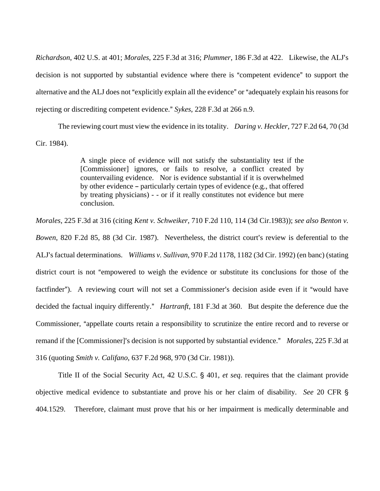*Richardson*, 402 U.S. at 401; *Morales*, 225 F.3d at 316; *Plummer*, 186 F.3d at 422. Likewise, the ALJ=s decision is not supported by substantial evidence where there is "competent evidence" to support the alternative and the ALJ does not "explicitly explain all the evidence" or "adequately explain his reasons for rejecting or discrediting competent evidence." *Sykes*, 228 F.3d at 266 n.9.

The reviewing court must view the evidence in its totality. *Daring v. Heckler*, 727 F.2d 64, 70 (3d Cir. 1984).

> A single piece of evidence will not satisfy the substantiality test if the [Commissioner] ignores, or fails to resolve, a conflict created by countervailing evidence. Nor is evidence substantial if it is overwhelmed by other evidence  $-$  particularly certain types of evidence (e.g., that offered by treating physicians) - - or if it really constitutes not evidence but mere conclusion.

*Morales*, 225 F.3d at 316 (citing *Kent v. Schweiker*, 710 F.2d 110, 114 (3d Cir.1983)); *see also Benton v.* 

*Bowen*, 820 F.2d 85, 88 (3d Cir. 1987). Nevertheless, the district court's review is deferential to the ALJ's factual determinations. *Williams v. Sullivan*, 970 F.2d 1178, 1182 (3d Cir. 1992) (en banc) (stating district court is not "empowered to weigh the evidence or substitute its conclusions for those of the factfinder"). A reviewing court will not set a Commissioner's decision aside even if it "would have decided the factual inquiry differently.<sup>*"*</sup> *Hartranft*, 181 F.3d at 360. But despite the deference due the Commissioner, "appellate courts retain a responsibility to scrutinize the entire record and to reverse or remand if the [Commissioner]'s decision is not supported by substantial evidence." *Morales*, 225 F.3d at 316 (quoting *Smith v. Califano*, 637 F.2d 968, 970 (3d Cir. 1981)).

Title II of the Social Security Act, 42 U.S.C. § 401, *et seq.* requires that the claimant provide objective medical evidence to substantiate and prove his or her claim of disability. *See* 20 CFR ' 404.1529. Therefore, claimant must prove that his or her impairment is medically determinable and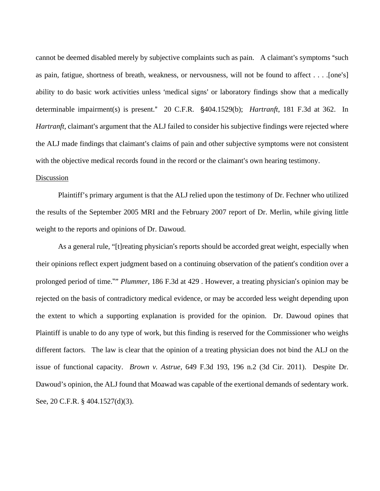cannot be deemed disabled merely by subjective complaints such as pain. A claimant's symptoms "such as pain, fatigue, shortness of breath, weakness, or nervousness, will not be found to affect . . . . [one's] ability to do basic work activities unless 'medical signs' or laboratory findings show that a medically determinable impairment(s) is present." 20 C.F.R. §404.1529(b); *Hartranft*, 181 F.3d at 362. In *Hartranft*, claimant's argument that the ALJ failed to consider his subjective findings were rejected where the ALJ made findings that claimant's claims of pain and other subjective symptoms were not consistent with the objective medical records found in the record or the claimant's own hearing testimony.

### Discussion

Plaintiff's primary argument is that the ALJ relied upon the testimony of Dr. Fechner who utilized the results of the September 2005 MRI and the February 2007 report of Dr. Merlin, while giving little weight to the reports and opinions of Dr. Dawoud.

 As a general rule, "[t]reating physician's reports should be accorded great weight, especially when their opinions reflect expert judgment based on a continuing observation of the patient's condition over a prolonged period of time."" *Plummer*, 186 F.3d at 429 . However, a treating physician's opinion may be rejected on the basis of contradictory medical evidence, or may be accorded less weight depending upon the extent to which a supporting explanation is provided for the opinion. Dr. Dawoud opines that Plaintiff is unable to do any type of work, but this finding is reserved for the Commissioner who weighs different factors. The law is clear that the opinion of a treating physician does not bind the ALJ on the issue of functional capacity. *Brown v. Astrue*, 649 F.3d 193, 196 n.2 (3d Cir. 2011). Despite Dr. Dawoud's opinion, the ALJ found that Moawad was capable of the exertional demands of sedentary work. See, 20 C.F.R. § 404.1527(d)(3).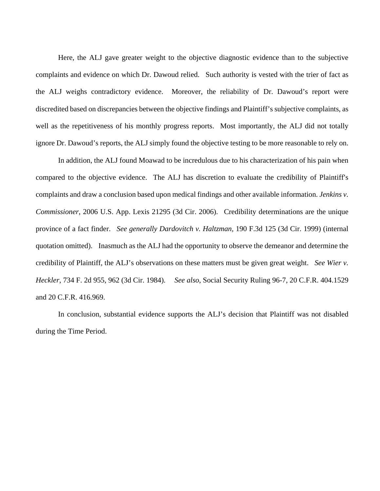Here, the ALJ gave greater weight to the objective diagnostic evidence than to the subjective complaints and evidence on which Dr. Dawoud relied. Such authority is vested with the trier of fact as the ALJ weighs contradictory evidence. Moreover, the reliability of Dr. Dawoud's report were discredited based on discrepancies between the objective findings and Plaintiff's subjective complaints, as well as the repetitiveness of his monthly progress reports. Most importantly, the ALJ did not totally ignore Dr. Dawoud's reports, the ALJ simply found the objective testing to be more reasonable to rely on.

 In addition, the ALJ found Moawad to be incredulous due to his characterization of his pain when compared to the objective evidence. The ALJ has discretion to evaluate the credibility of Plaintiff's complaints and draw a conclusion based upon medical findings and other available information. *Jenkins v. Commissioner*, 2006 U.S. App. Lexis 21295 (3d Cir. 2006). Credibility determinations are the unique province of a fact finder. *See generally Dardovitch v. Haltzman,* 190 F.3d 125 (3d Cir. 1999) (internal quotation omitted). Inasmuch as the ALJ had the opportunity to observe the demeanor and determine the credibility of Plaintiff, the ALJ's observations on these matters must be given great weight. *See Wier v. Heckler*, 734 F. 2d 955, 962 (3d Cir. 1984). *See also*, Social Security Ruling 96-7, 20 C.F.R. 404.1529 and 20 C.F.R. 416.969.

In conclusion, substantial evidence supports the ALJ's decision that Plaintiff was not disabled during the Time Period.